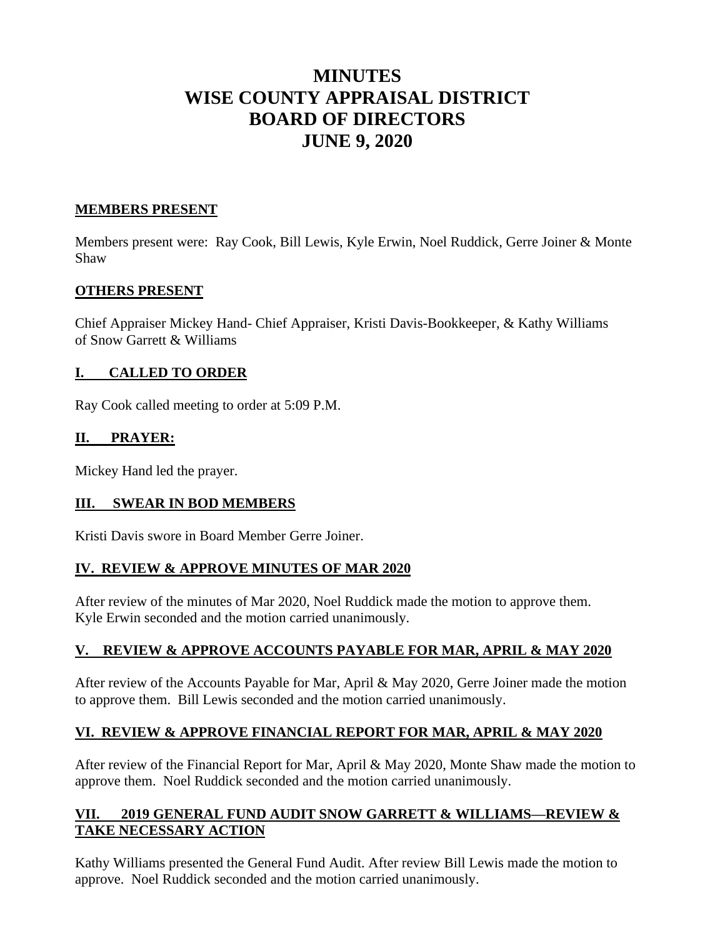# **MINUTES WISE COUNTY APPRAISAL DISTRICT BOARD OF DIRECTORS JUNE 9, 2020**

## **MEMBERS PRESENT**

Members present were: Ray Cook, Bill Lewis, Kyle Erwin, Noel Ruddick, Gerre Joiner & Monte Shaw

## **OTHERS PRESENT**

Chief Appraiser Mickey Hand- Chief Appraiser, Kristi Davis-Bookkeeper, & Kathy Williams of Snow Garrett & Williams

# **I. CALLED TO ORDER**

Ray Cook called meeting to order at 5:09 P.M.

## **II. PRAYER:**

Mickey Hand led the prayer.

## **III. SWEAR IN BOD MEMBERS**

Kristi Davis swore in Board Member Gerre Joiner.

## **IV. REVIEW & APPROVE MINUTES OF MAR 2020**

After review of the minutes of Mar 2020, Noel Ruddick made the motion to approve them. Kyle Erwin seconded and the motion carried unanimously.

# **V. REVIEW & APPROVE ACCOUNTS PAYABLE FOR MAR, APRIL & MAY 2020**

After review of the Accounts Payable for Mar, April & May 2020, Gerre Joiner made the motion to approve them. Bill Lewis seconded and the motion carried unanimously.

# **VI. REVIEW & APPROVE FINANCIAL REPORT FOR MAR, APRIL & MAY 2020**

After review of the Financial Report for Mar, April & May 2020, Monte Shaw made the motion to approve them. Noel Ruddick seconded and the motion carried unanimously.

# **VII. 2019 GENERAL FUND AUDIT SNOW GARRETT & WILLIAMS—REVIEW & TAKE NECESSARY ACTION**

Kathy Williams presented the General Fund Audit. After review Bill Lewis made the motion to approve. Noel Ruddick seconded and the motion carried unanimously.